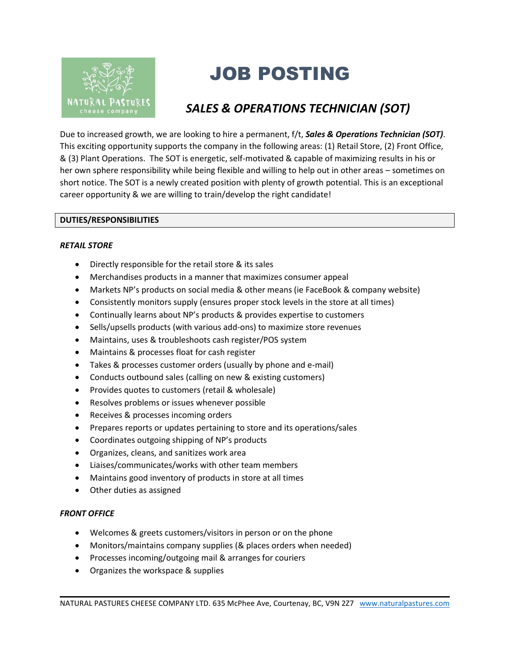

# JOB POSTING

## *SALES & OPERATIONS TECHNICIAN (SOT)*

Due to increased growth, we are looking to hire a permanent, f/t, *Sales & Operations Technician (SOT)*. This exciting opportunity supports the company in the following areas: (1) Retail Store, (2) Front Office, & (3) Plant Operations. The SOT is energetic, self-motivated & capable of maximizing results in his or her own sphere responsibility while being flexible and willing to help out in other areas – sometimes on short notice. The SOT is a newly created position with plenty of growth potential. This is an exceptional career opportunity & we are willing to train/develop the right candidate!

#### **DUTIES/RESPONSIBILITIES**

#### *RETAIL STORE*

- Directly responsible for the retail store & its sales
- Merchandises products in a manner that maximizes consumer appeal
- Markets NP's products on social media & other means (ie FaceBook & company website)
- Consistently monitors supply (ensures proper stock levels in the store at all times)
- Continually learns about NP's products & provides expertise to customers
- Sells/upsells products (with various add-ons) to maximize store revenues
- Maintains, uses & troubleshoots cash register/POS system
- Maintains & processes float for cash register
- Takes & processes customer orders (usually by phone and e-mail)
- Conducts outbound sales (calling on new & existing customers)
- Provides quotes to customers (retail & wholesale)
- Resolves problems or issues whenever possible
- Receives & processes incoming orders
- Prepares reports or updates pertaining to store and its operations/sales
- Coordinates outgoing shipping of NP's products
- Organizes, cleans, and sanitizes work area
- Liaises/communicates/works with other team members
- Maintains good inventory of products in store at all times
- Other duties as assigned

#### *FRONT OFFICE*

- Welcomes & greets customers/visitors in person or on the phone
- Monitors/maintains company supplies (& places orders when needed)
- Processes incoming/outgoing mail & arranges for couriers
- Organizes the workspace & supplies